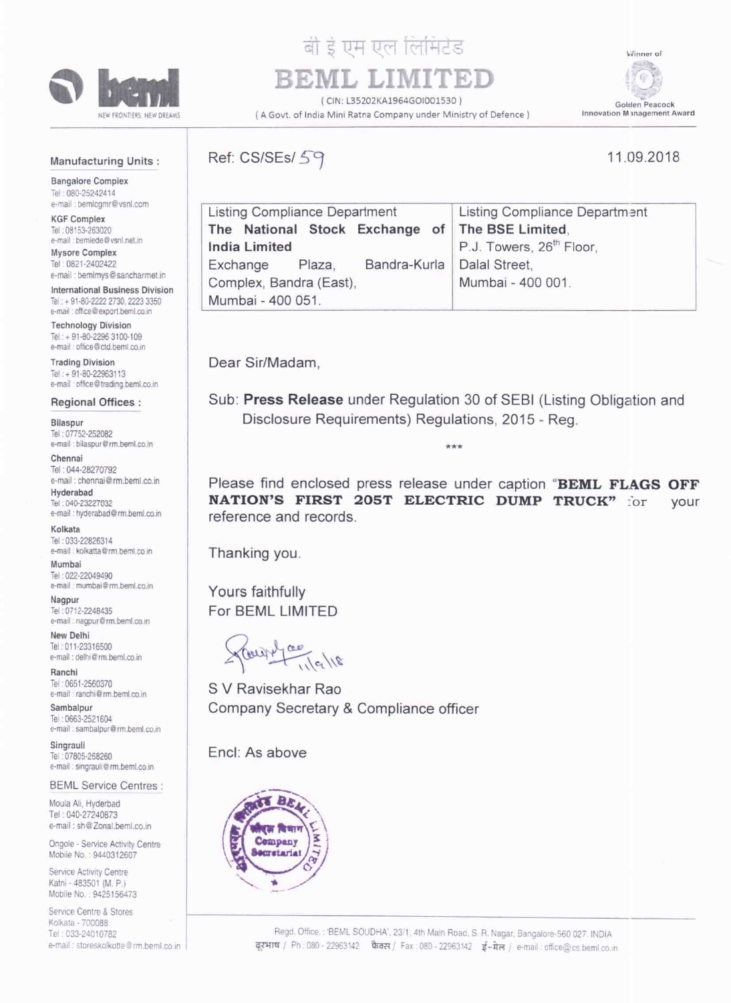

# बी ई एम एल लिमिटेड REML LIN

(CIN: 135202KA1964GOI001530) (A Govt. of India Mini Ratna Company under Ministry of Defence)

¢ Golden Peacock

Winner of

### Manufacturing Units:

**Bangalore Complex** Tel: 080-25242414 e-mail : bemlogmr@vsnl.com

**KGF Complex** Tel: 08153-263020 e-mail : bemiede@vsnl.net.in

Mysore Complex Tel: 0821-2402422 e-mail : bemlmys@sancharmet.in

International Business Division Tel: + 91-80-2222 2730, 2223 3350 e-mail : office@export.beml.co.in

**Technology Division** Tel: + 91-80-2296 3100-109 e-mail: office@ctd.beml.co.in

**Trading Division** Tel: + 91-80-22963113 e-mail office@trading.beml.co.in

#### **Regional Offices:**

**Bilaspur** Tel: 07752-252082 e-mail : bilaspur@rm.beml.co.in

Chennai Tel: 044-28270792 e-mail: chennai@rm.beml.co.in

Hyderabad Tel: 040-23227032 e-mail : hyderabad@rm.beml.co.in

Kolkata Tel: 033-22826314 e-mail : kolkatta@rm.beml.co.in

Mumbai Tel: 022-22049490 e-mail : mumbai@rm.beml.co.in

Nagpur Tel: 0712-2248435 e-mail : nagpur@rm.beml.co.in

New Delhi Tel: 011-23316500 e-mail: delhi@rm.beml.co.in

Ranchi Tel: 0651-2560370 e-mail : ranchi@rm.beml.co.in

Sambalpur Tel: 0663-2521604 e-mail : sambalpur@rm.beml.co.in

Singrauli Tel: 07805-268260 e-mail : singrauli@rm.beml.co.in

**BEML Service Centres:** 

Moula Ali, Hyderbad Tel: 040-27240873 e-mail: sh@Zonal.beml.co.in

Ongole - Service Activity Centre Mobile No.: 9440312607

Service Activity Centre Katni - 483501 (M. P.) Mobile No.: 9425156473

Service Centre & Stores Kolkata - 700088 Tel: 033-24010782 e-mail : storeskolkotte@rm.beml.co.in Ref: CS/SEs/ 59



11.09.2018

| Listing Compliance Department                      | Listing Compliance Department        |
|----------------------------------------------------|--------------------------------------|
| The National Stock Exchange of The BSE Limited.    |                                      |
| <b>India Limited</b>                               | P.J. Towers, 26 <sup>th</sup> Floor, |
| Bandra-Kurla   Dalal Street,<br>Exchange<br>Plaza. |                                      |
| Complex, Bandra (East),                            | Mumbai - 400 001.                    |
| Mumbai - 400 051.                                  |                                      |

Dear Sir/Madam.

Sub: Press Release under Regulation 30 of SEBI (Listing Obligation and Disclosure Requirements) Regulations, 2015 - Reg.

\*\*\*

Please find enclosed press release under caption "BEML FLAGS OFF NATION'S FIRST 205T ELECTRIC DUMP TRUCK" for vour reference and records.

Thanking you.

Yours faithfully For BEML LIMITED

Coupt

S V Ravisekhar Rao Company Secretary & Compliance officer

Encl: As above

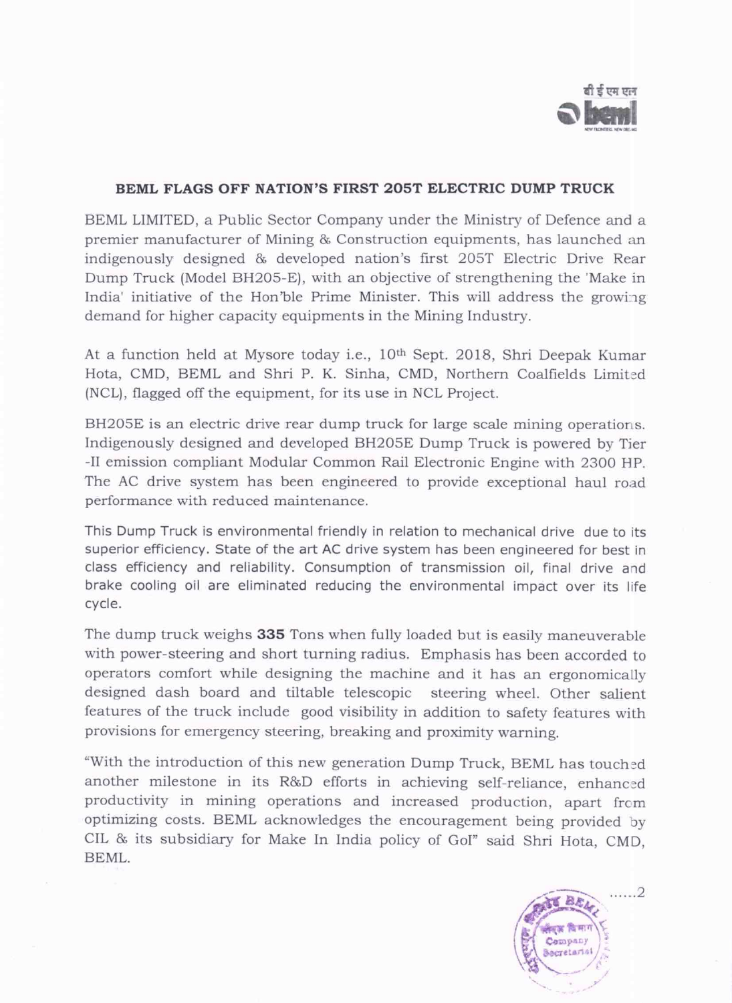

# BEML FLAGS OFF NATION'S FIRST 205T ELECTRIC DUMP TRUCK

BEML LIMITED, <sup>a</sup> Public Sector Company under the Ministry of Defence and a premier manufacturer of Mining & Construction equipments, has launched an indigenously designed & developed nation's first 205T Electric Drive Rear Dump Truck (Model BH205-E), with an objective of strengthening the 'Make in India' initiative of the Hon'ble Prime Minister. This will address the growing demand for higher capacity equipments in the Mining Industry.

At a function held at Mysore today i.e., 10'h Sept. 2018, Shri Deepak Kumar Hota, CMD, BEML and Shri P. K. Sinha, CMD, Northern Coalfields Limited (NCL), flagged off the equipment, for its use in NCL Project.

BH205E is an electric drive rear dump truck for large scale mining operations. Indigenously designed and developed BHZOSE Dump Truck is powered by Tier —II emission compliant Modular Common Rail Electronic Engine with 2300 HP. The AC drive system has been engineered to provide exceptional haul road performance with reduced maintenance.

This Dump Truck is environmental friendly in relation to mechanical drive due to its superior efficiency. State of the art AC drive system has been engineered for best in class efficiency and reliability. Consumption of transmission oil, final drive and brake cooling oil are eliminated reducing the environmental impact over its life cycle.

The dump truck weighs 335 Tons when fully loaded but is easily maneuverable with power-steering and short turning radius. Emphasis has been accorded to operators comfort while designing the machine and it has an ergonomically designed dash board and tiltable telescopic steering wheel. Other salient features of the truck include good visibility in addition to safety features with provisions for emergency steering, breaking and proximity warning.

"With the introduction of this new generation Dump Truck, BEML has touched another milestone in its R&D efforts in achieving self—reliance, enhanced productivity in mining operations and increased production, apart frcm optimizing costs. BEML acknowledges the encouragement being provided by CIL & its subsidiary for Make In India policy of GoI" said Shri Hota, CMD, BEML.